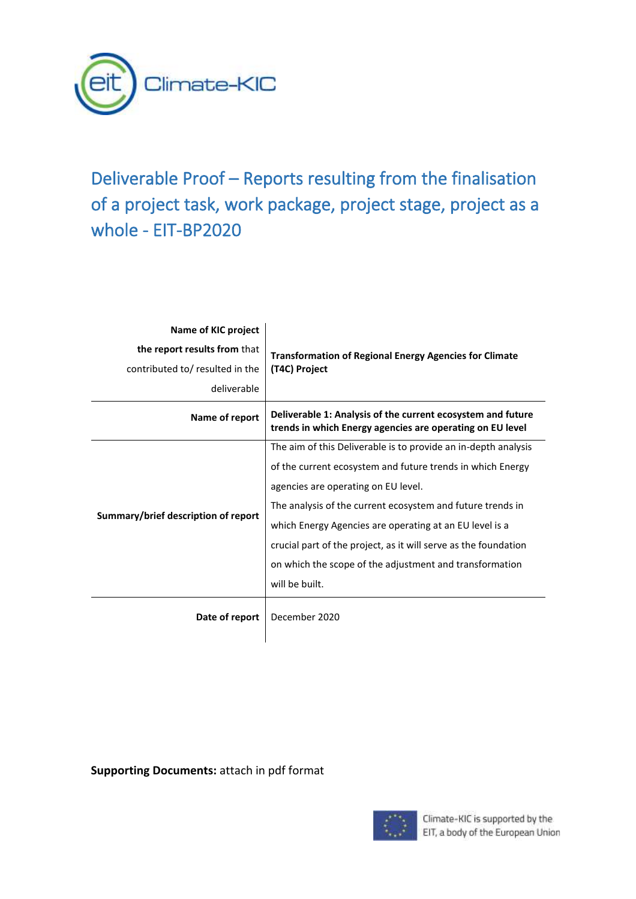

# Deliverable Proof – Reports resulting from the finalisation of a project task, work package, project stage, project as a whole - EIT-BP2020

| Name of KIC project                 | <b>Transformation of Regional Energy Agencies for Climate</b>                                                            |
|-------------------------------------|--------------------------------------------------------------------------------------------------------------------------|
| the report results from that        |                                                                                                                          |
| contributed to/ resulted in the     | (T4C) Project                                                                                                            |
| deliverable                         |                                                                                                                          |
| Name of report                      | Deliverable 1: Analysis of the current ecosystem and future<br>trends in which Energy agencies are operating on EU level |
|                                     | The aim of this Deliverable is to provide an in-depth analysis                                                           |
|                                     | of the current ecosystem and future trends in which Energy                                                               |
|                                     | agencies are operating on EU level.                                                                                      |
|                                     | The analysis of the current ecosystem and future trends in                                                               |
| Summary/brief description of report | which Energy Agencies are operating at an EU level is a                                                                  |
|                                     | crucial part of the project, as it will serve as the foundation                                                          |
|                                     | on which the scope of the adjustment and transformation                                                                  |
|                                     | will be built.                                                                                                           |
| Date of report                      | December 2020                                                                                                            |

**Supporting Documents:** attach in pdf format

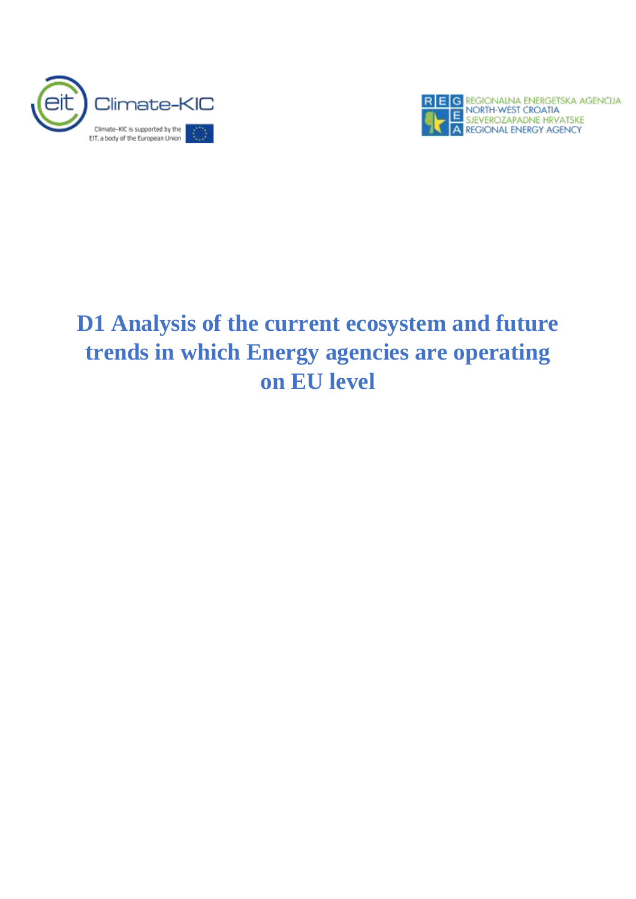



# **D1 Analysis of the current ecosystem and future trends in which Energy agencies are operating on EU level**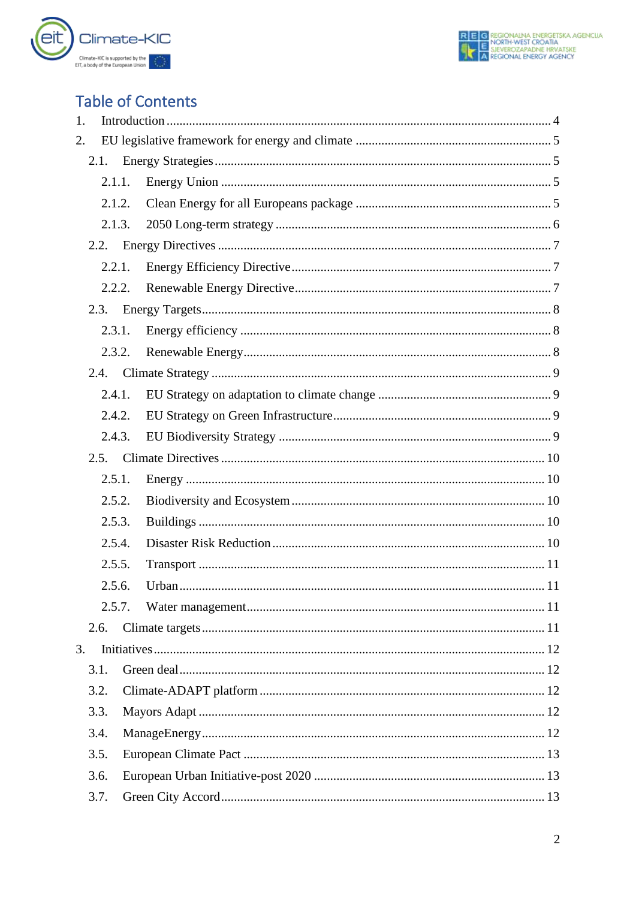

## **Table of Contents**

| 1. |      |        |  |
|----|------|--------|--|
| 2. |      |        |  |
|    | 2.1. |        |  |
|    |      | 2.1.1. |  |
|    |      | 2.1.2. |  |
|    |      | 2.1.3. |  |
|    | 2.2. |        |  |
|    |      | 2.2.1. |  |
|    |      | 2.2.2. |  |
|    | 2.3. |        |  |
|    |      | 2.3.1. |  |
|    |      | 2.3.2. |  |
|    | 2.4. |        |  |
|    |      | 2.4.1. |  |
|    |      | 2.4.2. |  |
|    |      | 2.4.3. |  |
|    | 2.5. |        |  |
|    |      | 2.5.1. |  |
|    |      | 2.5.2. |  |
|    |      | 2.5.3. |  |
|    |      | 2.5.4. |  |
|    |      | 2.5.5. |  |
|    |      | 2.5.6. |  |
|    |      | 2.5.7. |  |
|    | 2.6. |        |  |
| 3. |      |        |  |
|    | 3.1. |        |  |
|    | 3.2. |        |  |
|    | 3.3. |        |  |
|    | 3.4. |        |  |
|    | 3.5. |        |  |
|    | 3.6. |        |  |
|    | 3.7. |        |  |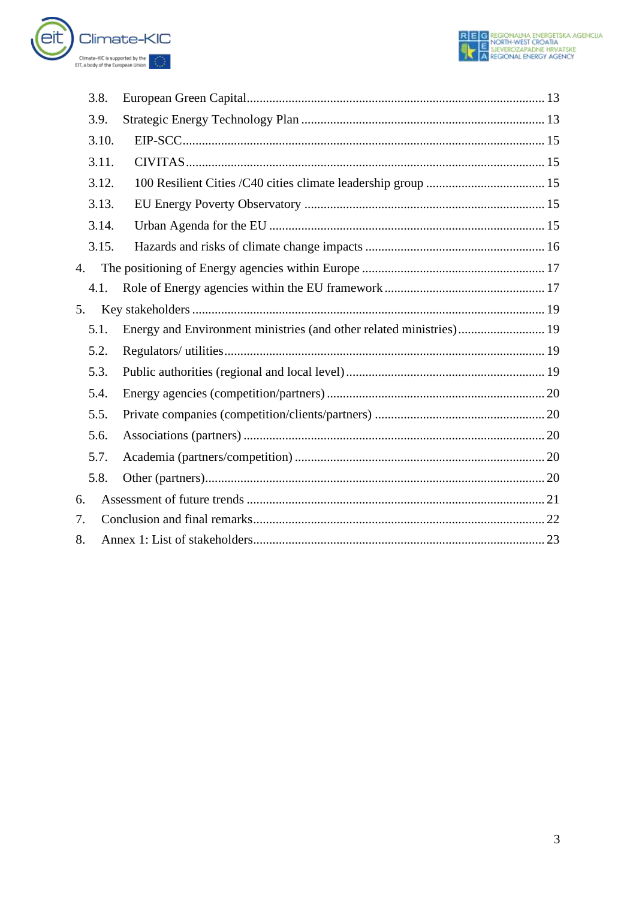

|    | 3.8.  |  |
|----|-------|--|
|    | 3.9.  |  |
|    | 3.10. |  |
|    | 3.11. |  |
|    | 3.12. |  |
|    | 3.13. |  |
|    | 3.14. |  |
|    | 3.15. |  |
| 4. |       |  |
|    | 4.1.  |  |
| 5. |       |  |
|    | 5.1.  |  |
|    | 5.2.  |  |
|    | 5.3.  |  |
|    | 5.4.  |  |
|    | 5.5.  |  |
|    | 5.6.  |  |
|    | 5.7.  |  |
|    | 5.8.  |  |
| 6. |       |  |
| 7. |       |  |
| 8. |       |  |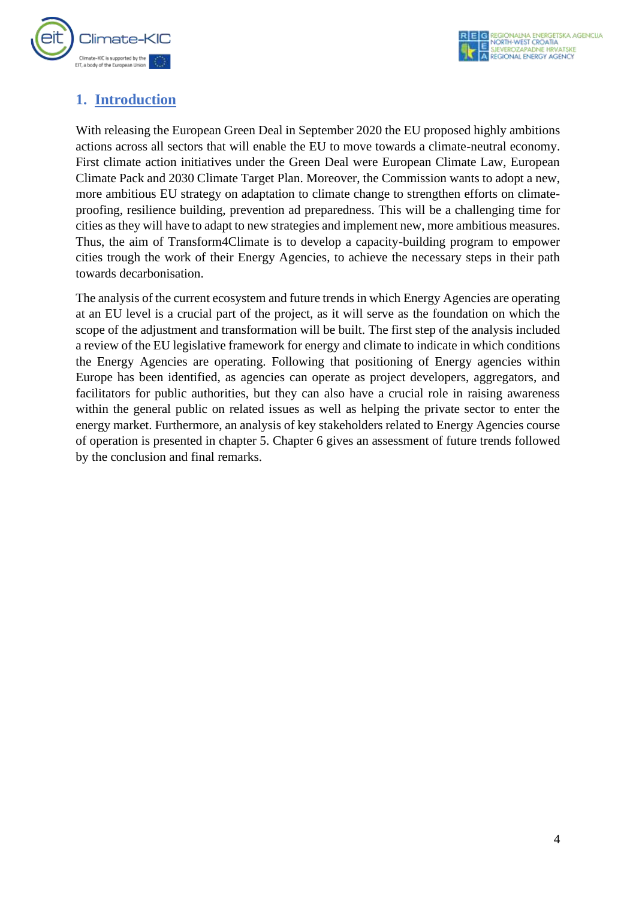

## <span id="page-4-0"></span>**1. Introduction**

With releasing the European Green Deal in September 2020 the EU proposed highly ambitions actions across all sectors that will enable the EU to move towards a climate-neutral economy. First climate action initiatives under the Green Deal were European Climate Law, European Climate Pack and 2030 Climate Target Plan. Moreover, the Commission wants to adopt a new, more ambitious EU strategy on adaptation to climate change to strengthen efforts on climateproofing, resilience building, prevention ad preparedness. This will be a challenging time for cities as they will have to adapt to new strategies and implement new, more ambitious measures. Thus, the aim of Transform4Climate is to develop a capacity-building program to empower cities trough the work of their Energy Agencies, to achieve the necessary steps in their path towards decarbonisation.

The analysis of the current ecosystem and future trends in which Energy Agencies are operating at an EU level is a crucial part of the project, as it will serve as the foundation on which the scope of the adjustment and transformation will be built. The first step of the analysis included a review of the EU legislative framework for energy and climate to indicate in which conditions the Energy Agencies are operating. Following that positioning of Energy agencies within Europe has been identified, as agencies can operate as project developers, aggregators, and facilitators for public authorities, but they can also have a crucial role in raising awareness within the general public on related issues as well as helping the private sector to enter the energy market. Furthermore, an analysis of key stakeholders related to Energy Agencies course of operation is presented in chapter 5. Chapter 6 gives an assessment of future trends followed by the conclusion and final remarks.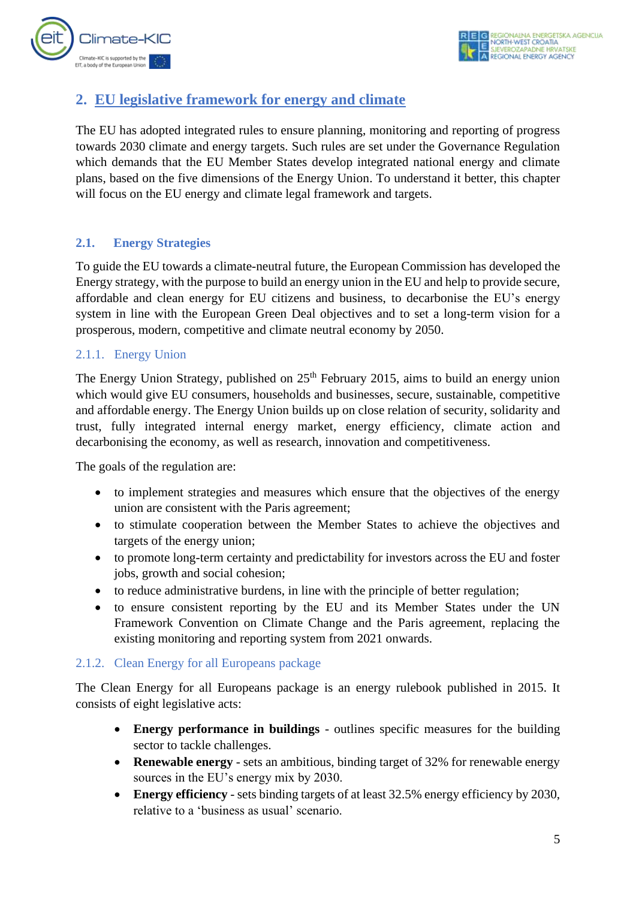

## <span id="page-5-0"></span>**2. EU legislative framework for energy and climate**

The EU has adopted integrated rules to ensure planning, monitoring and reporting of progress towards 2030 climate and energy targets. Such rules are set under the Governance Regulation which demands that the EU Member States develop integrated national energy and climate plans, based on the five dimensions of the Energy Union. To understand it better, this chapter will focus on the EU energy and climate legal framework and targets.

#### <span id="page-5-1"></span>**2.1. Energy Strategies**

To guide the EU towards a climate-neutral future, the European Commission has developed the Energy strategy, with the purpose to build an energy union in the EU and help to provide secure, affordable and clean energy for EU citizens and business, to decarbonise the EU's energy system in line with the European Green Deal objectives and to set a long-term vision for a prosperous, modern, competitive and climate neutral economy by 2050.

#### <span id="page-5-2"></span>2.1.1. Energy Union

The Energy Union Strategy, published on  $25<sup>th</sup>$  February 2015, aims to build an energy union which would give EU consumers, households and businesses, secure, sustainable, competitive and affordable energy. The Energy Union builds up on close relation of security, solidarity and trust, fully integrated internal energy market, energy efficiency, climate action and decarbonising the economy, as well as research, innovation and competitiveness.

The goals of the regulation are:

- to implement strategies and measures which ensure that the objectives of the energy union are consistent with the Paris agreement;
- to stimulate cooperation between the Member States to achieve the objectives and targets of the energy union;
- to promote long-term certainty and predictability for investors across the EU and foster jobs, growth and social cohesion;
- to reduce administrative burdens, in line with the principle of better regulation;
- to ensure consistent reporting by the EU and its Member States under the UN Framework Convention on Climate Change and the Paris agreement, replacing the existing monitoring and reporting system from 2021 onwards.

#### <span id="page-5-3"></span>2.1.2. Clean Energy for all Europeans package

The Clean Energy for all Europeans package is an energy rulebook published in 2015. It consists of eight legislative acts:

- **Energy performance in buildings** outlines specific measures for the building sector to tackle challenges.
- **Renewable energy** sets an ambitious, binding target of 32% for renewable energy sources in the EU's energy mix by 2030.
- **Energy efficiency** sets binding targets of at least 32.5% energy efficiency by 2030, relative to a 'business as usual' scenario.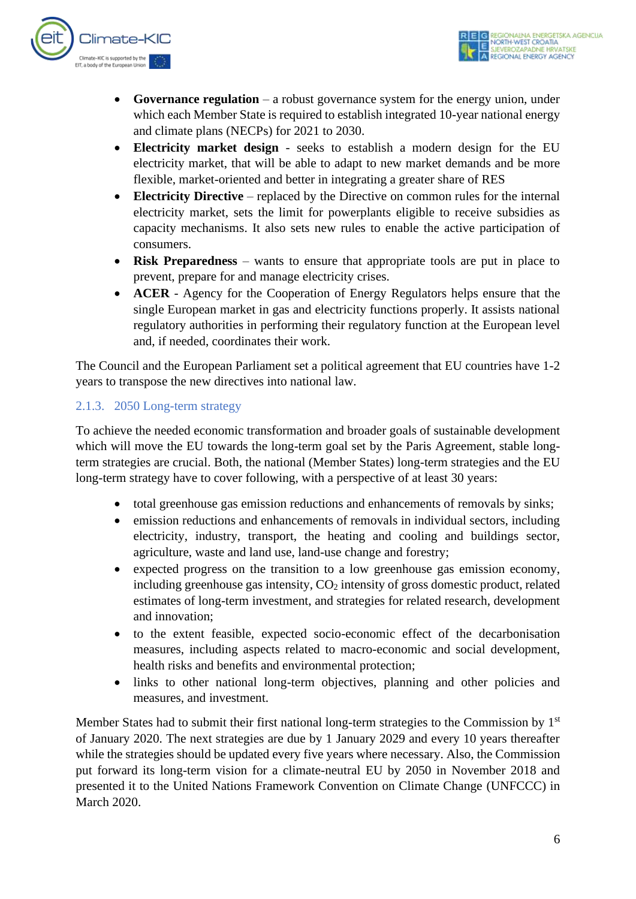

- **Governance regulation** a robust governance system for the energy union, under which each Member State is required to establish integrated 10-year national energy and climate plans (NECPs) for 2021 to 2030.
- **Electricity market design** seeks to establish a modern design for the EU electricity market, that will be able to adapt to new market demands and be more flexible, market-oriented and better in integrating a greater share of RES
- **Electricity Directive** replaced by the Directive on common rules for the internal electricity market, sets the limit for powerplants eligible to receive subsidies as capacity mechanisms. It also sets new rules to enable the active participation of consumers.
- **Risk Preparedness** wants to ensure that appropriate tools are put in place to prevent, prepare for and manage electricity crises.
- **ACER** Agency for the Cooperation of Energy Regulators helps ensure that the single European market in gas and electricity functions properly. It assists national regulatory authorities in performing their regulatory function at the European level and, if needed, coordinates their work.

The Council and the European Parliament set a political agreement that EU countries have 1-2 years to transpose the new directives into national law.

### <span id="page-6-0"></span>2.1.3. 2050 Long-term strategy

To achieve the needed economic transformation and broader goals of sustainable development which will move the EU towards the long-term goal set by the Paris Agreement, stable longterm strategies are crucial. Both, the national (Member States) long-term strategies and the EU long-term strategy have to cover following, with a perspective of at least 30 years:

- total greenhouse gas emission reductions and enhancements of removals by sinks;
- emission reductions and enhancements of removals in individual sectors, including electricity, industry, transport, the heating and cooling and buildings sector, agriculture, waste and land use, land-use change and forestry;
- expected progress on the transition to a low greenhouse gas emission economy, including greenhouse gas intensity,  $CO<sub>2</sub>$  intensity of gross domestic product, related estimates of long-term investment, and strategies for related research, development and innovation;
- to the extent feasible, expected socio-economic effect of the decarbonisation measures, including aspects related to macro-economic and social development, health risks and benefits and environmental protection;
- links to other national long-term objectives, planning and other policies and measures, and investment.

Member States had to submit their first national long-term strategies to the Commission by  $1<sup>st</sup>$ of January 2020. The next strategies are due by 1 January 2029 and every 10 years thereafter while the strategies should be updated every five years where necessary. Also, the Commission put forward its long-term vision for a climate-neutral EU by 2050 in November 2018 and presented it to the United Nations Framework Convention on Climate Change (UNFCCC) in March 2020.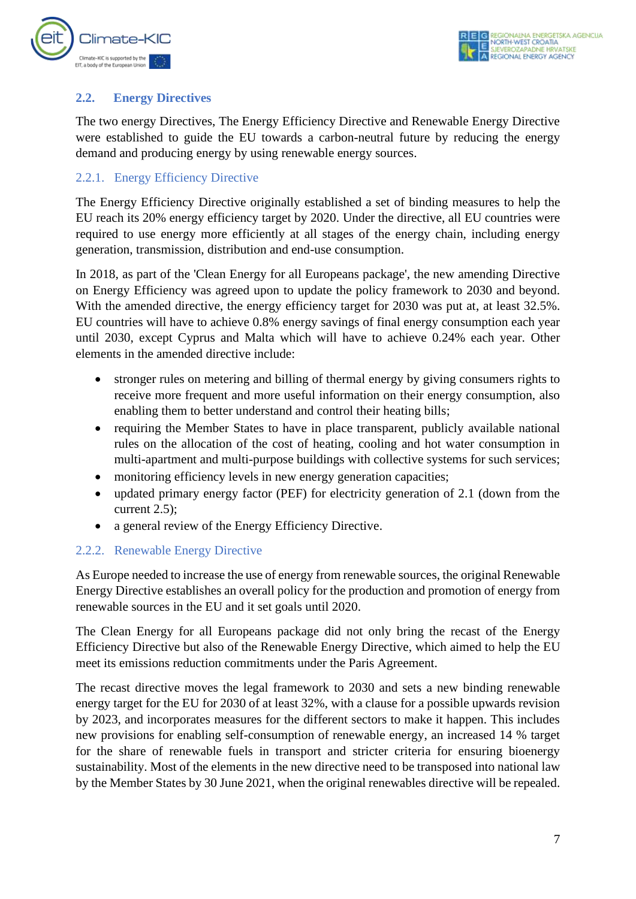

#### <span id="page-7-0"></span>**2.2. Energy Directives**

The two energy Directives, The Energy Efficiency Directive and Renewable Energy Directive were established to guide the EU towards a carbon-neutral future by reducing the energy demand and producing energy by using renewable energy sources.

#### <span id="page-7-1"></span>2.2.1. Energy Efficiency Directive

The Energy Efficiency Directive originally established a set of binding measures to help the EU reach its 20% energy efficiency target by 2020. Under the directive, all EU countries were required to use energy more efficiently at all stages of the energy chain, including energy generation, transmission, distribution and end-use consumption.

In 2018, as part of the 'Clean Energy for all Europeans package', the new amending Directive on Energy Efficiency was agreed upon to update the policy framework to 2030 and beyond. With the amended directive, the energy efficiency target for 2030 was put at, at least 32.5%. EU countries will have to achieve 0.8% energy savings of final energy consumption each year until 2030, except Cyprus and Malta which will have to achieve 0.24% each year. Other elements in the amended directive include:

- stronger rules on metering and billing of thermal energy by giving consumers rights to receive more frequent and more useful information on their energy consumption, also enabling them to better understand and control their heating bills;
- requiring the Member States to have in place transparent, publicly available national rules on the allocation of the cost of heating, cooling and hot water consumption in multi-apartment and multi-purpose buildings with collective systems for such services;
- monitoring efficiency levels in new energy generation capacities;
- updated primary energy factor (PEF) for electricity generation of 2.1 (down from the current 2.5);
- a general review of the Energy Efficiency Directive.

#### <span id="page-7-2"></span>2.2.2. Renewable Energy Directive

As Europe needed to increase the use of energy from renewable sources, the original Renewable Energy Directive establishes an overall policy for the production and promotion of energy from renewable sources in the EU and it set goals until 2020.

The Clean Energy for all Europeans package did not only bring the recast of the Energy Efficiency Directive but also of the Renewable Energy Directive, which aimed to help the EU meet its emissions reduction commitments under the Paris Agreement.

The recast directive moves the legal framework to 2030 and sets a new binding renewable energy target for the EU for 2030 of at least 32%, with a clause for a possible upwards revision by 2023, and incorporates measures for the different sectors to make it happen. This includes new provisions for enabling self-consumption of renewable energy, an increased 14 % target for the share of renewable fuels in transport and stricter criteria for ensuring bioenergy sustainability. Most of the elements in the new directive need to be transposed into national law by the Member States by 30 June 2021, when the original renewables directive will be repealed.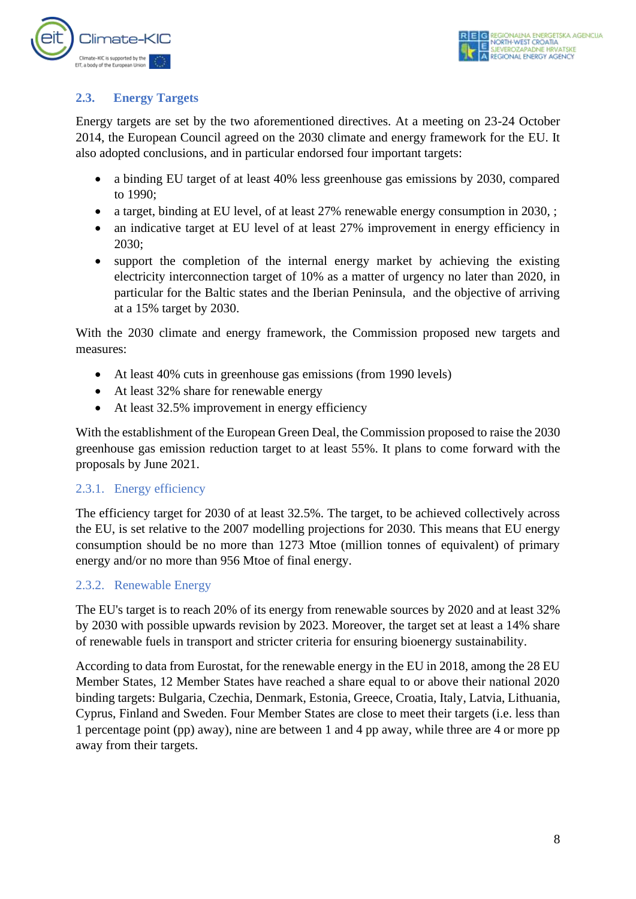

#### <span id="page-8-0"></span>**2.3. Energy Targets**

Energy targets are set by the two aforementioned directives. At a meeting on 23-24 October 2014, the European Council agreed on the 2030 climate and energy framework for the EU. It also adopted conclusions, and in particular endorsed four important targets:

- a binding EU target of at least 40% less greenhouse gas emissions by 2030, compared to 1990;
- a target, binding at EU level, of at least 27% renewable energy consumption in 2030, ;
- an indicative target at EU level of at least 27% improvement in energy efficiency in 2030;
- support the completion of the internal energy market by achieving the existing electricity interconnection target of 10% as a matter of urgency no later than 2020, in particular for the Baltic states and the Iberian Peninsula, and the objective of arriving at a 15% target by 2030.

With the 2030 climate and energy framework, the Commission proposed new targets and measures:

- At least 40% cuts in greenhouse gas emissions (from 1990 levels)
- At least 32% share for renewable energy
- At least 32.5% improvement in energy efficiency

With the establishment of the European Green Deal, the Commission proposed to raise the 2030 greenhouse gas emission reduction target to at least 55%. It plans to come forward with the proposals by June 2021.

#### <span id="page-8-1"></span>2.3.1. Energy efficiency

The efficiency target for 2030 of at least 32.5%. The target, to be achieved collectively across the EU, is set relative to the 2007 modelling projections for 2030. This means that EU energy consumption should be no more than 1273 Mtoe (million tonnes of equivalent) of primary energy and/or no more than 956 Mtoe of final energy.

#### <span id="page-8-2"></span>2.3.2. Renewable Energy

The EU's target is to reach 20% of its energy from renewable sources by 2020 and at least 32% by 2030 with possible upwards revision by 2023. Moreover, the target set at least a 14% share of renewable fuels in transport and stricter criteria for ensuring bioenergy sustainability.

According to data from Eurostat, for the renewable energy in the EU in 2018, among the 28 EU Member States, 12 Member States have reached a share equal to or above their national 2020 binding targets: Bulgaria, Czechia, Denmark, Estonia, Greece, Croatia, Italy, Latvia, Lithuania, Cyprus, Finland and Sweden. Four Member States are close to meet their targets (i.e. less than 1 percentage point (pp) away), nine are between 1 and 4 pp away, while three are 4 or more pp away from their targets.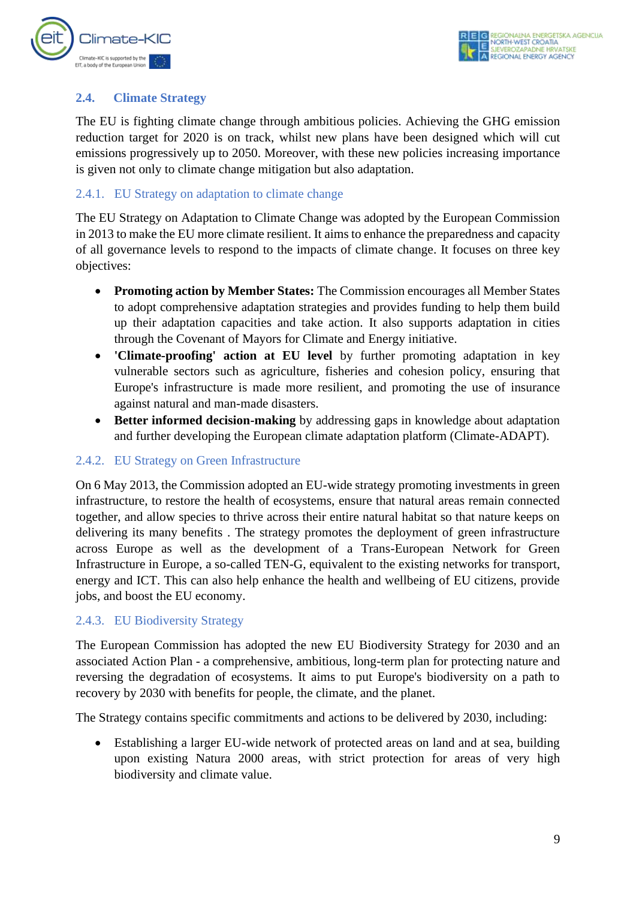

#### <span id="page-9-0"></span>**2.4. Climate Strategy**

The EU is fighting climate change through ambitious policies. Achieving the GHG emission reduction target for 2020 is on track, whilst new plans have been designed which will cut emissions progressively up to 2050. Moreover, with these new policies increasing importance is given not only to climate change mitigation but also adaptation.

#### <span id="page-9-1"></span>2.4.1. EU Strategy on adaptation to climate change

The EU Strategy on Adaptation to Climate Change was adopted by the European Commission in 2013 to make the EU more climate resilient. It aims to enhance the preparedness and capacity of all governance levels to respond to the impacts of climate change. It focuses on three key objectives:

- **Promoting action by Member States:** The Commission encourages all Member States to adopt comprehensive adaptation strategies and provides funding to help them build up their adaptation capacities and take action. It also supports adaptation in cities through the Covenant of Mayors for Climate and Energy initiative.
- **'Climate-proofing' action at EU level** by further promoting adaptation in key vulnerable sectors such as agriculture, fisheries and cohesion policy, ensuring that Europe's infrastructure is made more resilient, and promoting the use of insurance against natural and man-made disasters.
- **Better informed decision-making** by addressing gaps in knowledge about adaptation and further developing the European climate adaptation platform (Climate-ADAPT).

#### <span id="page-9-2"></span>2.4.2. EU Strategy on Green Infrastructure

On 6 May 2013, the Commission adopted an EU-wide strategy promoting investments in green infrastructure, to restore the health of ecosystems, ensure that natural areas remain connected together, and allow species to thrive across their entire natural habitat so that nature keeps on delivering its many benefits . The strategy promotes the deployment of green infrastructure across Europe as well as the development of a Trans-European Network for Green Infrastructure in Europe, a so-called TEN-G, equivalent to the existing networks for transport, energy and ICT. This can also help enhance the health and wellbeing of EU citizens, provide jobs, and boost the EU economy.

#### <span id="page-9-3"></span>2.4.3. EU Biodiversity Strategy

The European Commission has adopted the new EU Biodiversity Strategy for 2030 and an associated Action Plan - a comprehensive, ambitious, long-term plan for protecting nature and reversing the degradation of ecosystems. It aims to put Europe's biodiversity on a path to recovery by 2030 with benefits for people, the climate, and the planet.

The Strategy contains specific commitments and actions to be delivered by 2030, including:

• Establishing a larger EU-wide network of protected areas on land and at sea, building upon existing Natura 2000 areas, with strict protection for areas of very high biodiversity and climate value.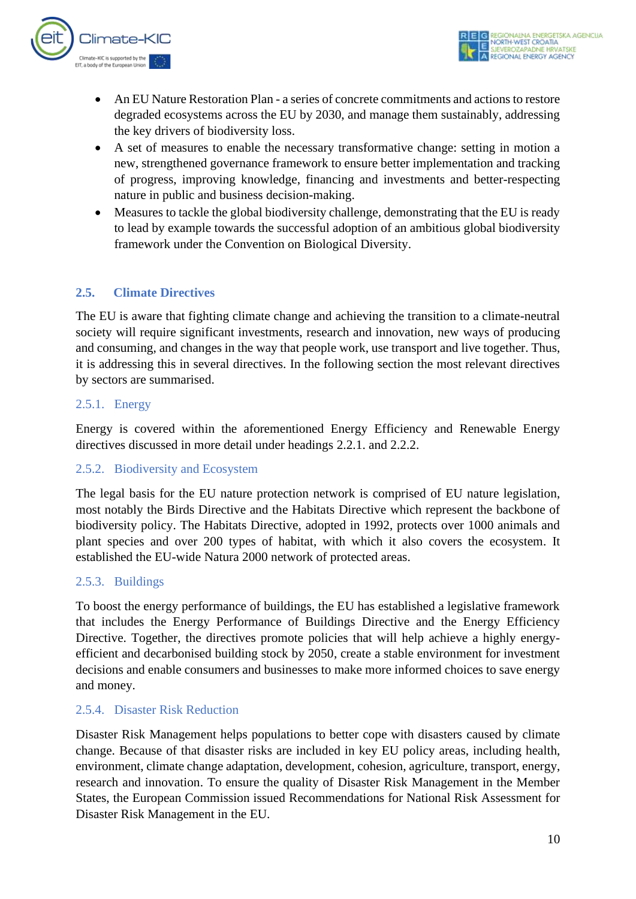

- An EU Nature Restoration Plan a series of concrete commitments and actions to restore degraded ecosystems across the EU by 2030, and manage them sustainably, addressing the key drivers of biodiversity loss.
- A set of measures to enable the necessary transformative change: setting in motion a new, strengthened governance framework to ensure better implementation and tracking of progress, improving knowledge, financing and investments and better-respecting nature in public and business decision-making.
- Measures to tackle the global biodiversity challenge, demonstrating that the EU is ready to lead by example towards the successful adoption of an ambitious global biodiversity framework under the Convention on Biological Diversity.

#### <span id="page-10-0"></span>**2.5. Climate Directives**

The EU is aware that fighting climate change and achieving the transition to a climate-neutral society will require significant investments, research and innovation, new ways of producing and consuming, and changes in the way that people work, use transport and live together. Thus, it is addressing this in several directives. In the following section the most relevant directives by sectors are summarised.

#### <span id="page-10-1"></span>2.5.1. Energy

Energy is covered within the aforementioned Energy Efficiency and Renewable Energy directives discussed in more detail under headings 2.2.1. and 2.2.2.

#### <span id="page-10-2"></span>2.5.2. Biodiversity and Ecosystem

The legal basis for the EU nature protection network is comprised of EU nature legislation, most notably the Birds Directive and the Habitats Directive which represent the backbone of biodiversity policy. The Habitats Directive, adopted in 1992, protects over 1000 animals and plant species and over 200 types of habitat, with which it also covers the ecosystem. It established the EU-wide Natura 2000 network of protected areas.

#### <span id="page-10-3"></span>2.5.3. Buildings

To boost the energy performance of buildings, the EU has established a legislative framework that includes the Energy Performance of Buildings Directive and the Energy Efficiency Directive. Together, the directives promote policies that will help achieve a highly energyefficient and decarbonised building stock by 2050, create a stable environment for investment decisions and enable consumers and businesses to make more informed choices to save energy and money.

#### <span id="page-10-4"></span>2.5.4. Disaster Risk Reduction

Disaster Risk Management helps populations to better cope with disasters caused by climate change. Because of that disaster risks are included in key EU policy areas, including health, environment, climate change adaptation, development, cohesion, agriculture, transport, energy, research and innovation. To ensure the quality of Disaster Risk Management in the Member States, the European Commission issued Recommendations for National Risk Assessment for Disaster Risk Management in the EU.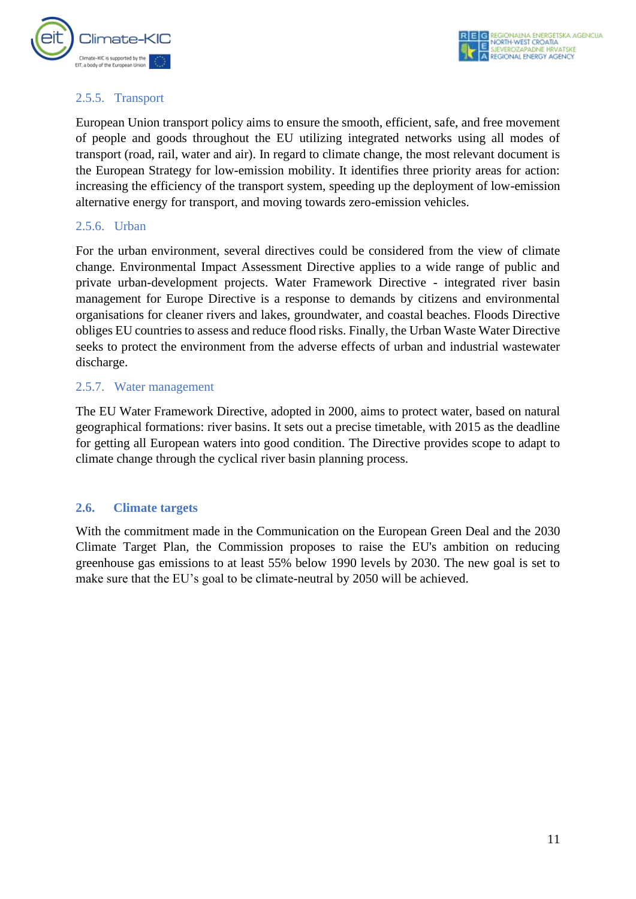

#### <span id="page-11-0"></span>2.5.5. Transport

European Union transport policy aims to ensure the smooth, efficient, safe, and free movement of people and goods throughout the EU utilizing integrated networks using all modes of transport (road, rail, water and air). In regard to climate change, the most relevant document is the European Strategy for low-emission mobility. It identifies three priority areas for action: increasing the efficiency of the transport system, speeding up the deployment of low-emission alternative energy for transport, and moving towards zero-emission vehicles.

#### <span id="page-11-1"></span>2.5.6. Urban

For the urban environment, several directives could be considered from the view of climate change. Environmental Impact Assessment Directive applies to a wide range of public and private urban-development projects. Water Framework Directive - integrated river basin management for Europe Directive is a response to demands by citizens and environmental organisations for cleaner rivers and lakes, groundwater, and coastal beaches. Floods Directive obliges EU countries to assess and reduce flood risks. Finally, the Urban Waste Water Directive seeks to protect the environment from the adverse effects of urban and industrial wastewater discharge.

#### <span id="page-11-2"></span>2.5.7. Water management

The EU Water Framework Directive, adopted in 2000, aims to protect water, based on natural geographical formations: river basins. It sets out a precise timetable, with 2015 as the deadline for getting all European waters into good condition. The Directive provides scope to adapt to climate change through the cyclical river basin planning process.

#### <span id="page-11-3"></span>**2.6. Climate targets**

With the commitment made in the Communication on the European Green Deal and the 2030 Climate Target Plan, the Commission proposes to raise the EU's ambition on reducing greenhouse gas emissions to at least 55% below 1990 levels by 2030. The new goal is set to make sure that the EU's goal to be climate-neutral by 2050 will be achieved.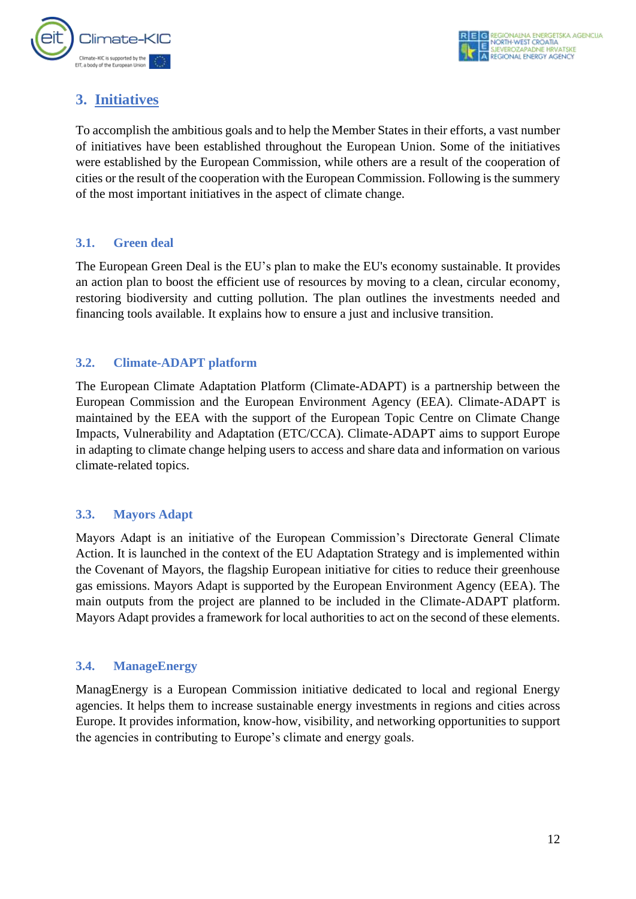

## <span id="page-12-0"></span>**3. Initiatives**

To accomplish the ambitious goals and to help the Member States in their efforts, a vast number of initiatives have been established throughout the European Union. Some of the initiatives were established by the European Commission, while others are a result of the cooperation of cities or the result of the cooperation with the European Commission. Following is the summery of the most important initiatives in the aspect of climate change.

#### <span id="page-12-1"></span>**3.1. Green deal**

The European Green Deal is the EU's plan to make the EU's economy sustainable. It provides an action plan to boost the efficient use of resources by moving to a clean, circular economy, restoring biodiversity and cutting pollution. The plan outlines the investments needed and financing tools available. It explains how to ensure a just and inclusive transition.

#### <span id="page-12-2"></span>**3.2. Climate-ADAPT platform**

The European Climate Adaptation Platform (Climate-ADAPT) is a partnership between the European Commission and the European Environment Agency (EEA). Climate-ADAPT is maintained by the EEA with the support of the European Topic Centre on Climate Change Impacts, Vulnerability and Adaptation (ETC/CCA). Climate-ADAPT aims to support Europe in adapting to climate change helping users to access and share data and information on various climate-related topics.

#### <span id="page-12-3"></span>**3.3. Mayors Adapt**

Mayors Adapt is an initiative of the European Commission's Directorate General Climate Action. It is launched in the context of the EU Adaptation Strategy and is implemented within the Covenant of Mayors, the flagship European initiative for cities to reduce their greenhouse gas emissions. Mayors Adapt is supported by the European Environment Agency (EEA). The main outputs from the project are planned to be included in the Climate-ADAPT platform. Mayors Adapt provides a framework for local authorities to act on the second of these elements.

#### <span id="page-12-4"></span>**3.4. ManageEnergy**

ManagEnergy is a European Commission initiative dedicated to local and regional Energy agencies. It helps them to increase sustainable energy investments in regions and cities across Europe. It provides information, know-how, visibility, and networking opportunities to support the agencies in contributing to Europe's climate and energy goals.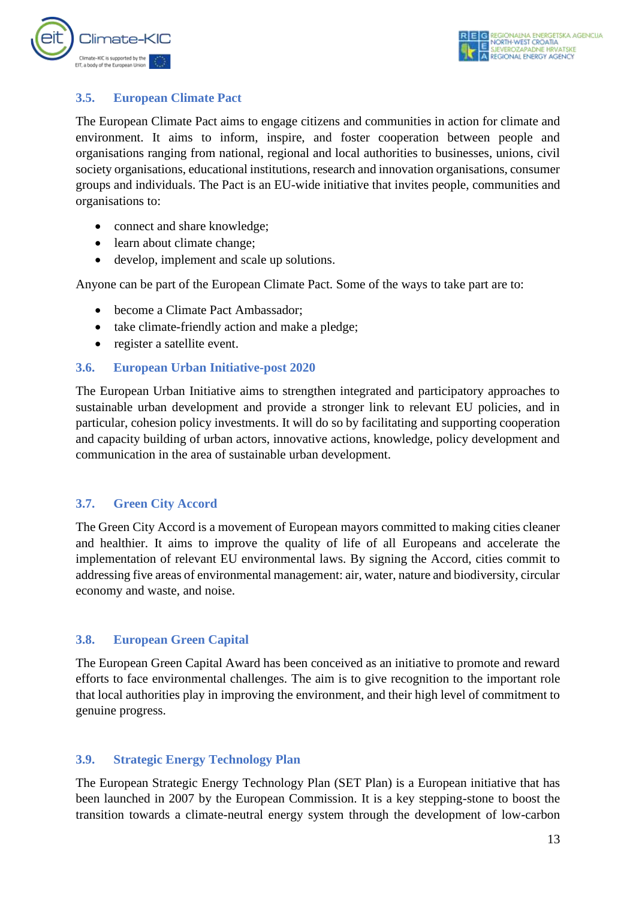

#### <span id="page-13-0"></span>**3.5. European Climate Pact**

The European Climate Pact aims to engage citizens and communities in action for climate and environment. It aims to inform, inspire, and foster cooperation between people and organisations ranging from national, regional and local authorities to businesses, unions, civil society organisations, educational institutions, research and innovation organisations, consumer groups and individuals. The Pact is an EU-wide initiative that invites people, communities and organisations to:

- connect and share knowledge;
- learn about climate change;
- develop, implement and scale up solutions.

Anyone can be part of the European Climate Pact. Some of the ways to take part are to:

- become a Climate Pact Ambassador:
- take climate-friendly action and make a pledge:
- register a satellite event.

#### <span id="page-13-1"></span>**3.6. European Urban Initiative-post 2020**

The European Urban Initiative aims to strengthen integrated and participatory approaches to sustainable urban development and provide a stronger link to relevant EU policies, and in particular, cohesion policy investments. It will do so by facilitating and supporting cooperation and capacity building of urban actors, innovative actions, knowledge, policy development and communication in the area of sustainable urban development.

#### <span id="page-13-2"></span>**3.7. Green City Accord**

The Green City Accord is a movement of European mayors committed to making cities cleaner and healthier. It aims to improve the quality of life of all Europeans and accelerate the implementation of relevant EU environmental laws. By signing the Accord, cities commit to addressing five areas of environmental management: air, water, nature and biodiversity, circular economy and waste, and noise.

#### <span id="page-13-3"></span>**3.8. European Green Capital**

The European Green Capital Award has been conceived as an initiative to promote and reward efforts to face environmental challenges. The aim is to give recognition to the important role that local authorities play in improving the environment, and their high level of commitment to genuine progress.

#### <span id="page-13-4"></span>**3.9. Strategic Energy Technology Plan**

The European Strategic Energy Technology Plan (SET Plan) is a European initiative that has been launched in 2007 by the European Commission. It is a key stepping-stone to boost the transition towards a climate-neutral energy system through the development of low-carbon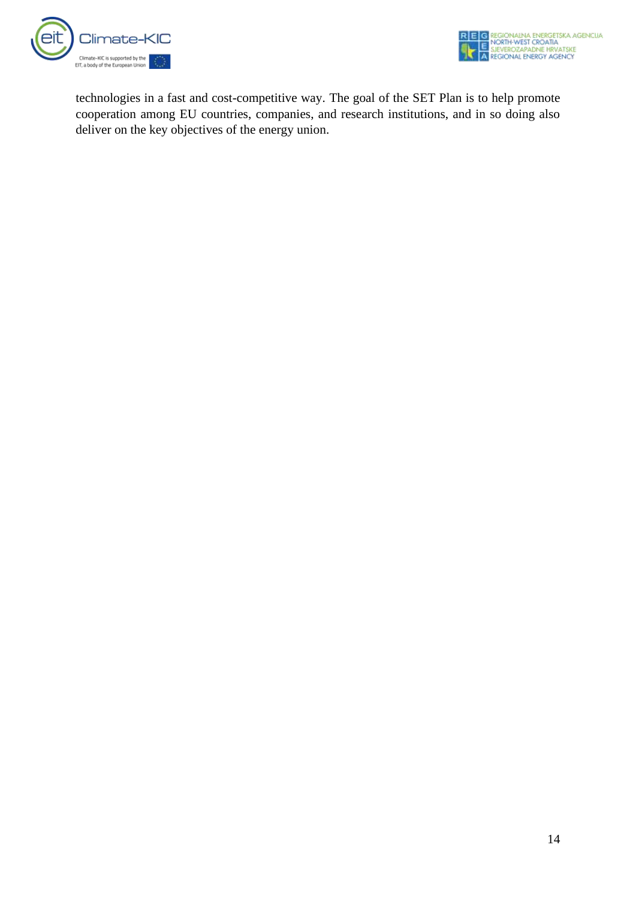



technologies in a fast and cost-competitive way. The goal of the SET Plan is to help promote cooperation among EU countries, companies, and research institutions, and in so doing also deliver on the key objectives of the energy union.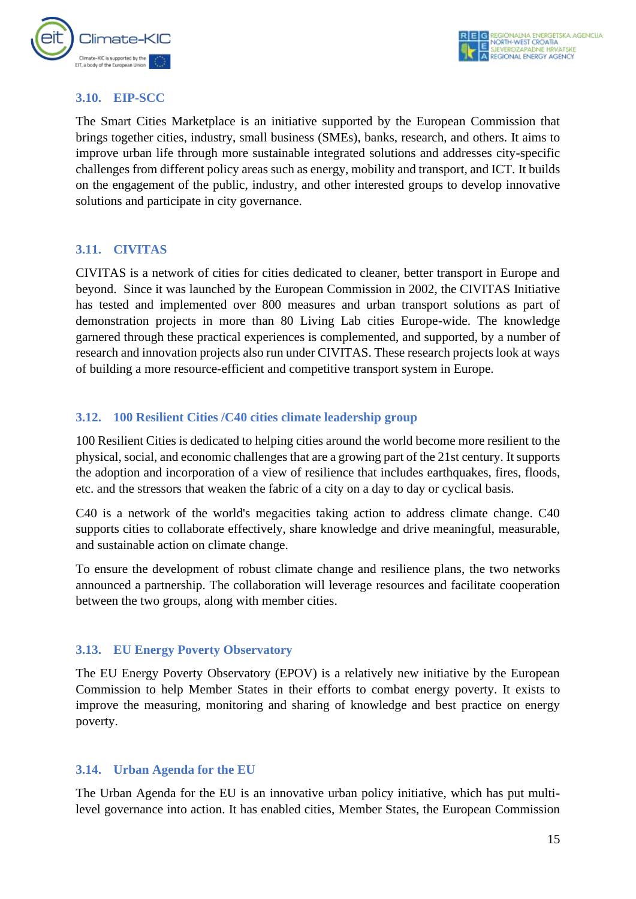

#### <span id="page-15-0"></span>**3.10. EIP-SCC**

The Smart Cities Marketplace is an initiative supported by the European Commission that brings together cities, industry, small business (SMEs), banks, research, and others. It aims to improve urban life through more sustainable integrated solutions and addresses city-specific challenges from different policy areas such as energy, mobility and transport, and ICT. It builds on the engagement of the public, industry, and other interested groups to develop innovative solutions and participate in city governance.

#### <span id="page-15-1"></span>**3.11. CIVITAS**

CIVITAS is a network of cities for cities dedicated to cleaner, better transport in Europe and beyond. Since it was launched by the European Commission in 2002, the CIVITAS Initiative has tested and implemented over 800 measures and urban transport solutions as part of demonstration projects in more than 80 Living Lab cities Europe-wide. The knowledge garnered through these practical experiences is complemented, and supported, by a number of research and innovation projects also run under CIVITAS. These research projects look at ways of building a more resource-efficient and competitive transport system in Europe.

#### <span id="page-15-2"></span>**3.12. 100 Resilient Cities /C40 cities climate leadership group**

100 Resilient Cities is dedicated to helping cities around the world become more resilient to the physical, social, and economic challenges that are a growing part of the 21st century. It supports the adoption and incorporation of a view of resilience that includes earthquakes, fires, floods, etc. and the stressors that weaken the fabric of a city on a day to day or cyclical basis.

C40 is a network of the world's megacities taking action to address climate change. C40 supports cities to collaborate effectively, share knowledge and drive meaningful, measurable, and sustainable action on climate change.

To ensure the development of robust climate change and resilience plans, the two networks announced a partnership. The collaboration will leverage resources and facilitate cooperation between the two groups, along with member cities.

#### <span id="page-15-3"></span>**3.13. EU Energy Poverty Observatory**

The EU Energy Poverty Observatory (EPOV) is a relatively new initiative by the European Commission to help Member States in their efforts to combat energy poverty. It exists to improve the measuring, monitoring and sharing of knowledge and best practice on energy poverty.

#### <span id="page-15-4"></span>**3.14. Urban Agenda for the EU**

The Urban Agenda for the EU is an innovative urban policy initiative, which has put multilevel governance into action. It has enabled cities, Member States, the European Commission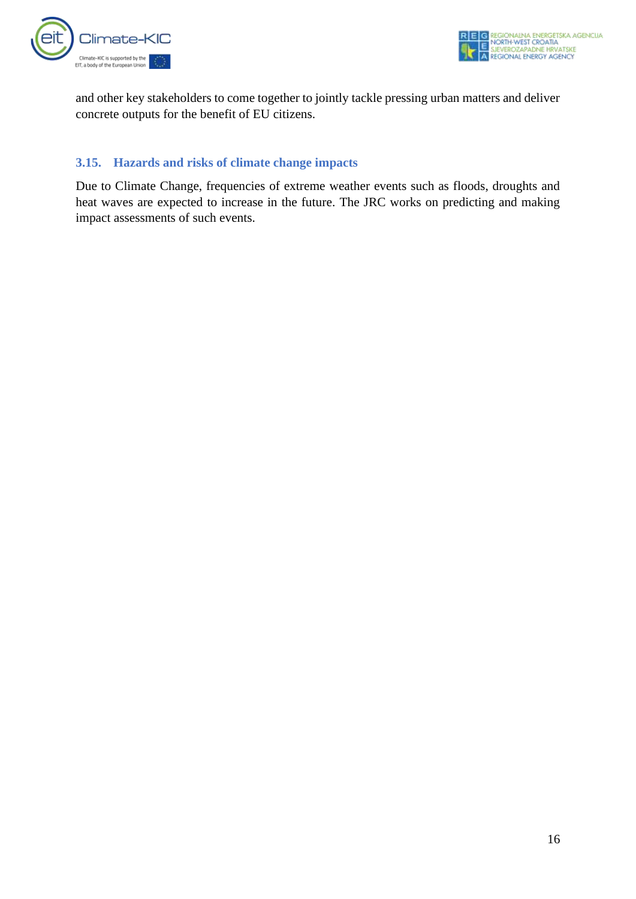

and other key stakeholders to come together to jointly tackle pressing urban matters and deliver concrete outputs for the benefit of EU citizens.

#### <span id="page-16-0"></span>**3.15. Hazards and risks of climate change impacts**

Due to Climate Change, frequencies of extreme weather events such as floods, droughts and heat waves are expected to increase in the future. The JRC works on predicting and making impact assessments of such events.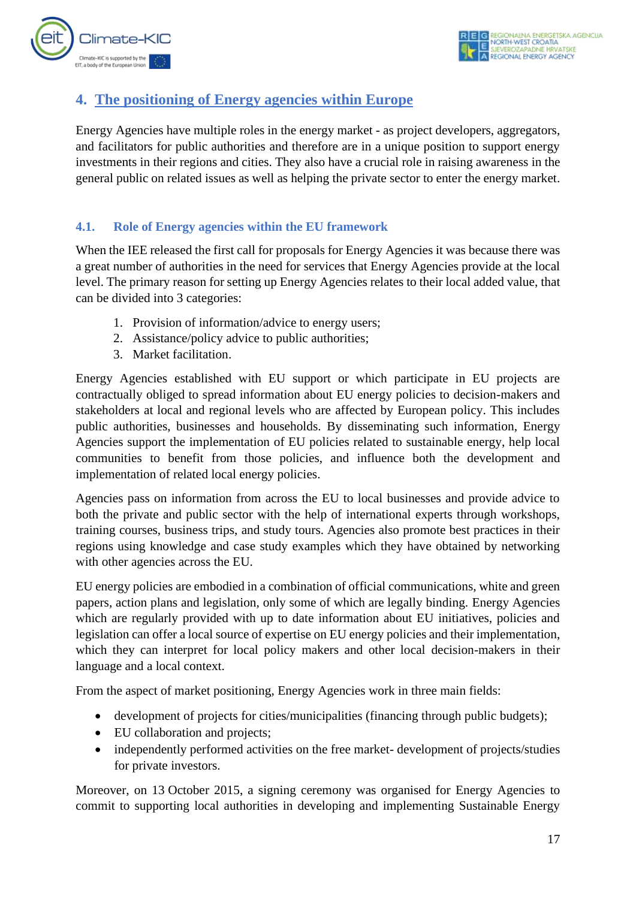

## <span id="page-17-0"></span>**4. The positioning of Energy agencies within Europe**

Energy Agencies have multiple roles in the energy market - as project developers, aggregators, and facilitators for public authorities and therefore are in a unique position to support energy investments in their regions and cities. They also have a crucial role in raising awareness in the general public on related issues as well as helping the private sector to enter the energy market.

#### <span id="page-17-1"></span>**4.1. Role of Energy agencies within the EU framework**

When the IEE released the first call for proposals for Energy Agencies it was because there was a great number of authorities in the need for services that Energy Agencies provide at the local level. The primary reason for setting up Energy Agencies relates to their local added value, that can be divided into 3 categories:

- 1. Provision of information/advice to energy users;
- 2. Assistance/policy advice to public authorities;
- 3. Market facilitation.

Energy Agencies established with EU support or which participate in EU projects are contractually obliged to spread information about EU energy policies to decision-makers and stakeholders at local and regional levels who are affected by European policy. This includes public authorities, businesses and households. By disseminating such information, Energy Agencies support the implementation of EU policies related to sustainable energy, help local communities to benefit from those policies, and influence both the development and implementation of related local energy policies.

Agencies pass on information from across the EU to local businesses and provide advice to both the private and public sector with the help of international experts through workshops, training courses, business trips, and study tours. Agencies also promote best practices in their regions using knowledge and case study examples which they have obtained by networking with other agencies across the EU.

EU energy policies are embodied in a combination of official communications, white and green papers, action plans and legislation, only some of which are legally binding. Energy Agencies which are regularly provided with up to date information about EU initiatives, policies and legislation can offer a local source of expertise on EU energy policies and their implementation, which they can interpret for local policy makers and other local decision-makers in their language and a local context.

From the aspect of market positioning, Energy Agencies work in three main fields:

- development of projects for cities/municipalities (financing through public budgets);
- EU collaboration and projects;
- independently performed activities on the free market- development of projects/studies for private investors.

Moreover, on 13 October 2015, a signing ceremony was organised for Energy Agencies to commit to supporting local authorities in developing and implementing Sustainable Energy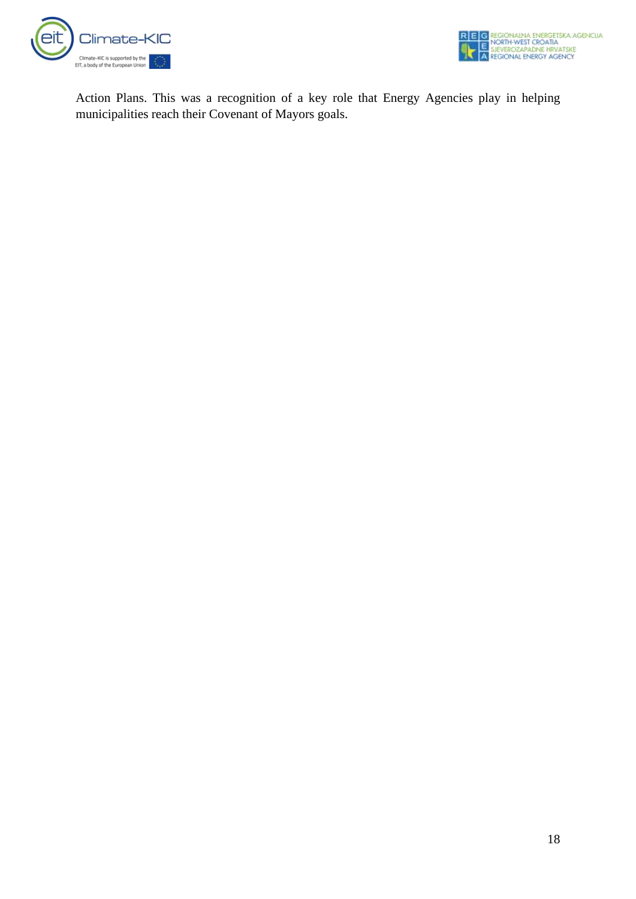



Action Plans. This was a recognition of a key role that Energy Agencies play in helping municipalities reach their Covenant of Mayors goals.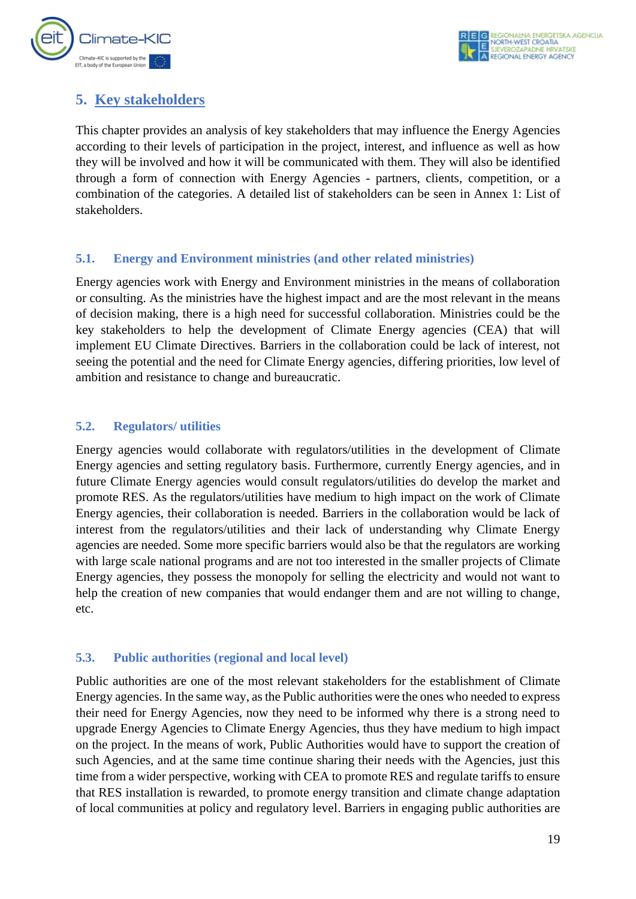

## <span id="page-19-0"></span>**5. Key stakeholders**

This chapter provides an analysis of key stakeholders that may influence the Energy Agencies according to their levels of participation in the project, interest, and influence as well as how they will be involved and how it will be communicated with them. They will also be identified through a form of connection with Energy Agencies - partners, clients, competition, or a combination of the categories. A detailed list of stakeholders can be seen in Annex 1: List of stakeholders.

#### <span id="page-19-1"></span>**5.1. Energy and Environment ministries (and other related ministries)**

Energy agencies work with Energy and Environment ministries in the means of collaboration or consulting. As the ministries have the highest impact and are the most relevant in the means of decision making, there is a high need for successful collaboration. Ministries could be the key stakeholders to help the development of Climate Energy agencies (CEA) that will implement EU Climate Directives. Barriers in the collaboration could be lack of interest, not seeing the potential and the need for Climate Energy agencies, differing priorities, low level of ambition and resistance to change and bureaucratic.

#### <span id="page-19-2"></span>**5.2. Regulators/ utilities**

Energy agencies would collaborate with regulators/utilities in the development of Climate Energy agencies and setting regulatory basis. Furthermore, currently Energy agencies, and in future Climate Energy agencies would consult regulators/utilities do develop the market and promote RES. As the regulators/utilities have medium to high impact on the work of Climate Energy agencies, their collaboration is needed. Barriers in the collaboration would be lack of interest from the regulators/utilities and their lack of understanding why Climate Energy agencies are needed. Some more specific barriers would also be that the regulators are working with large scale national programs and are not too interested in the smaller projects of Climate Energy agencies, they possess the monopoly for selling the electricity and would not want to help the creation of new companies that would endanger them and are not willing to change, etc.

#### <span id="page-19-3"></span>**5.3. Public authorities (regional and local level)**

Public authorities are one of the most relevant stakeholders for the establishment of Climate Energy agencies. In the same way, as the Public authorities were the ones who needed to express their need for Energy Agencies, now they need to be informed why there is a strong need to upgrade Energy Agencies to Climate Energy Agencies, thus they have medium to high impact on the project. In the means of work, Public Authorities would have to support the creation of such Agencies, and at the same time continue sharing their needs with the Agencies, just this time from a wider perspective, working with CEA to promote RES and regulate tariffs to ensure that RES installation is rewarded, to promote energy transition and climate change adaptation of local communities at policy and regulatory level. Barriers in engaging public authorities are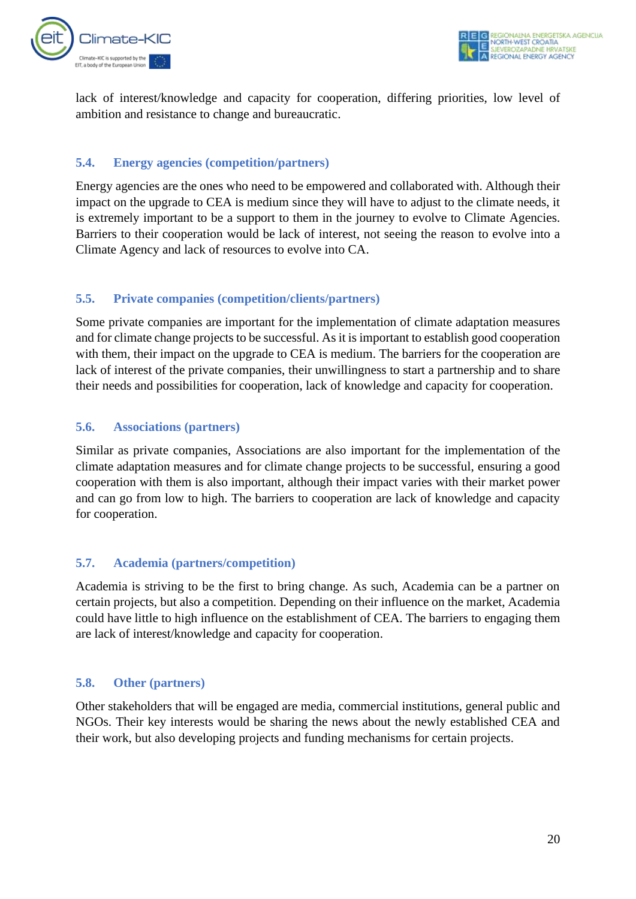

lack of interest/knowledge and capacity for cooperation, differing priorities, low level of ambition and resistance to change and bureaucratic.

#### <span id="page-20-0"></span>**5.4. Energy agencies (competition/partners)**

Energy agencies are the ones who need to be empowered and collaborated with. Although their impact on the upgrade to CEA is medium since they will have to adjust to the climate needs, it is extremely important to be a support to them in the journey to evolve to Climate Agencies. Barriers to their cooperation would be lack of interest, not seeing the reason to evolve into a Climate Agency and lack of resources to evolve into CA.

#### <span id="page-20-1"></span>**5.5. Private companies (competition/clients/partners)**

Some private companies are important for the implementation of climate adaptation measures and for climate change projects to be successful. As it is important to establish good cooperation with them, their impact on the upgrade to CEA is medium. The barriers for the cooperation are lack of interest of the private companies, their unwillingness to start a partnership and to share their needs and possibilities for cooperation, lack of knowledge and capacity for cooperation.

#### <span id="page-20-2"></span>**5.6. Associations (partners)**

Similar as private companies, Associations are also important for the implementation of the climate adaptation measures and for climate change projects to be successful, ensuring a good cooperation with them is also important, although their impact varies with their market power and can go from low to high. The barriers to cooperation are lack of knowledge and capacity for cooperation.

#### <span id="page-20-3"></span>**5.7. Academia (partners/competition)**

Academia is striving to be the first to bring change. As such, Academia can be a partner on certain projects, but also a competition. Depending on their influence on the market, Academia could have little to high influence on the establishment of CEA. The barriers to engaging them are lack of interest/knowledge and capacity for cooperation.

#### <span id="page-20-4"></span>**5.8. Other (partners)**

Other stakeholders that will be engaged are media, commercial institutions, general public and NGOs. Their key interests would be sharing the news about the newly established CEA and their work, but also developing projects and funding mechanisms for certain projects.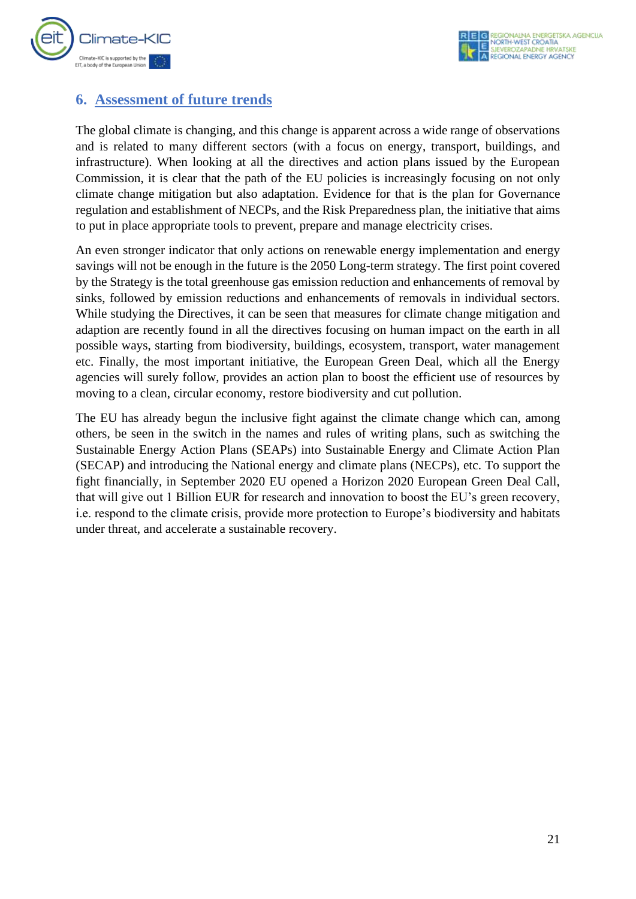

### <span id="page-21-0"></span>**6. Assessment of future trends**

The global climate is changing, and this change is apparent across a wide range of observations and is related to many different sectors (with a focus on energy, transport, buildings, and infrastructure). When looking at all the directives and action plans issued by the European Commission, it is clear that the path of the EU policies is increasingly focusing on not only climate change mitigation but also adaptation. Evidence for that is the plan for Governance regulation and establishment of NECPs, and the Risk Preparedness plan, the initiative that aims to put in place appropriate tools to prevent, prepare and manage electricity crises.

An even stronger indicator that only actions on renewable energy implementation and energy savings will not be enough in the future is the 2050 Long-term strategy. The first point covered by the Strategy is the total greenhouse gas emission reduction and enhancements of removal by sinks, followed by emission reductions and enhancements of removals in individual sectors. While studying the Directives, it can be seen that measures for climate change mitigation and adaption are recently found in all the directives focusing on human impact on the earth in all possible ways, starting from biodiversity, buildings, ecosystem, transport, water management etc. Finally, the most important initiative, the European Green Deal, which all the Energy agencies will surely follow, provides an action plan to boost the efficient use of resources by moving to a clean, circular economy, restore biodiversity and cut pollution.

The EU has already begun the inclusive fight against the climate change which can, among others, be seen in the switch in the names and rules of writing plans, such as switching the Sustainable Energy Action Plans (SEAPs) into Sustainable Energy and Climate Action Plan (SECAP) and introducing the National energy and climate plans (NECPs), etc. To support the fight financially, in September 2020 EU opened a Horizon 2020 European Green Deal Call, that will give out 1 Billion EUR for research and innovation to boost the EU's green recovery, i.e. respond to the climate crisis, provide more protection to Europe's biodiversity and habitats under threat, and accelerate a sustainable recovery.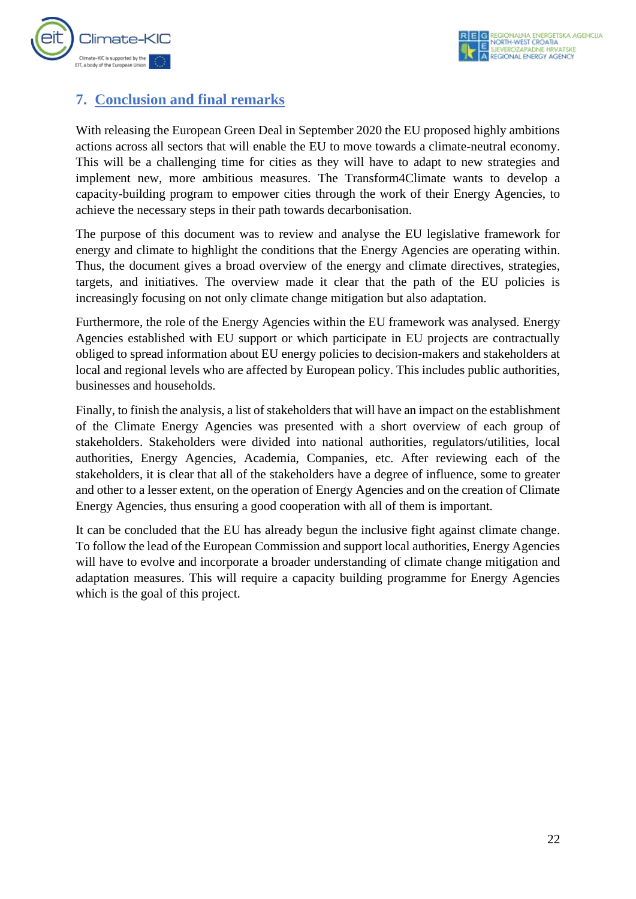

## <span id="page-22-0"></span>**7. Conclusion and final remarks**

With releasing the European Green Deal in September 2020 the EU proposed highly ambitions actions across all sectors that will enable the EU to move towards a climate-neutral economy. This will be a challenging time for cities as they will have to adapt to new strategies and implement new, more ambitious measures. The Transform4Climate wants to develop a capacity-building program to empower cities through the work of their Energy Agencies, to achieve the necessary steps in their path towards decarbonisation.

The purpose of this document was to review and analyse the EU legislative framework for energy and climate to highlight the conditions that the Energy Agencies are operating within. Thus, the document gives a broad overview of the energy and climate directives, strategies, targets, and initiatives. The overview made it clear that the path of the EU policies is increasingly focusing on not only climate change mitigation but also adaptation.

Furthermore, the role of the Energy Agencies within the EU framework was analysed. Energy Agencies established with EU support or which participate in EU projects are contractually obliged to spread information about EU energy policies to decision-makers and stakeholders at local and regional levels who are affected by European policy. This includes public authorities, businesses and households.

Finally, to finish the analysis, a list of stakeholders that will have an impact on the establishment of the Climate Energy Agencies was presented with a short overview of each group of stakeholders. Stakeholders were divided into national authorities, regulators/utilities, local authorities, Energy Agencies, Academia, Companies, etc. After reviewing each of the stakeholders, it is clear that all of the stakeholders have a degree of influence, some to greater and other to a lesser extent, on the operation of Energy Agencies and on the creation of Climate Energy Agencies, thus ensuring a good cooperation with all of them is important.

It can be concluded that the EU has already begun the inclusive fight against climate change. To follow the lead of the European Commission and support local authorities, Energy Agencies will have to evolve and incorporate a broader understanding of climate change mitigation and adaptation measures. This will require a capacity building programme for Energy Agencies which is the goal of this project.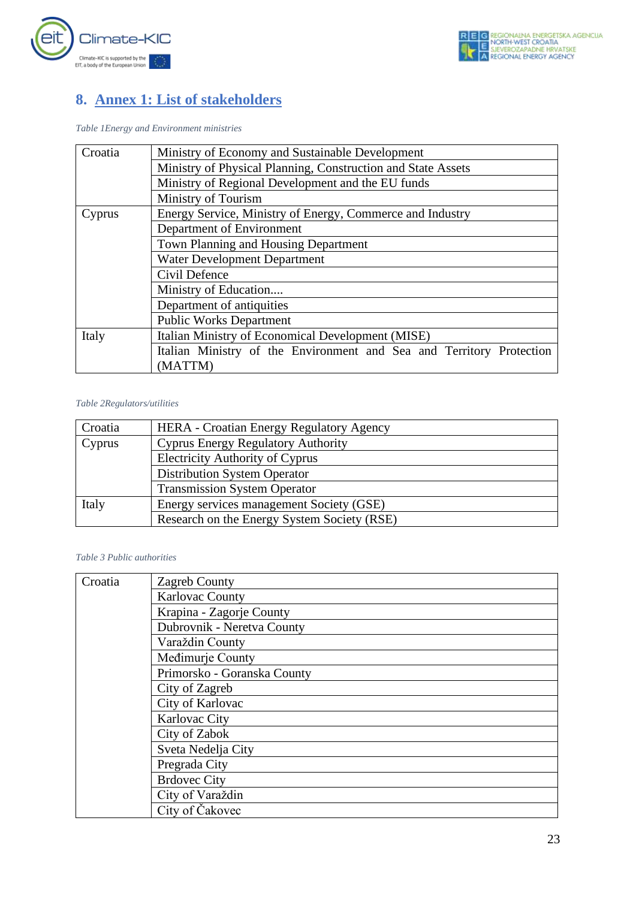

## <span id="page-23-0"></span>**8. Annex 1: List of stakeholders**

*Table 1Energy and Environment ministries*

| Croatia | Ministry of Economy and Sustainable Development                      |
|---------|----------------------------------------------------------------------|
|         | Ministry of Physical Planning, Construction and State Assets         |
|         | Ministry of Regional Development and the EU funds                    |
|         | Ministry of Tourism                                                  |
| Cyprus  | Energy Service, Ministry of Energy, Commerce and Industry            |
|         | Department of Environment                                            |
|         | Town Planning and Housing Department                                 |
|         | <b>Water Development Department</b>                                  |
|         | Civil Defence                                                        |
|         | Ministry of Education                                                |
|         | Department of antiquities                                            |
|         | <b>Public Works Department</b>                                       |
| Italy   | Italian Ministry of Economical Development (MISE)                    |
|         | Italian Ministry of the Environment and Sea and Territory Protection |
|         | (MATTM)                                                              |

#### *Table 2Regulators/utilities*

| Croatia | <b>HERA</b> - Croatian Energy Regulatory Agency |
|---------|-------------------------------------------------|
| Cyprus  | <b>Cyprus Energy Regulatory Authority</b>       |
|         | <b>Electricity Authority of Cyprus</b>          |
|         | <b>Distribution System Operator</b>             |
|         | <b>Transmission System Operator</b>             |
| Italy   | Energy services management Society (GSE)        |
|         | Research on the Energy System Society (RSE)     |

#### *Table 3 Public authorities*

| Croatia | Zagreb County               |
|---------|-----------------------------|
|         | Karlovac County             |
|         | Krapina - Zagorje County    |
|         | Dubrovnik - Neretva County  |
|         | Varaždin County             |
|         | Medimurje County            |
|         | Primorsko - Goranska County |
|         | City of Zagreb              |
|         | City of Karlovac            |
|         | Karlovac City               |
|         | City of Zabok               |
|         | Sveta Nedelja City          |
|         | Pregrada City               |
|         | <b>Brdovec City</b>         |
|         | City of Varaždin            |
|         | City of Čakovec             |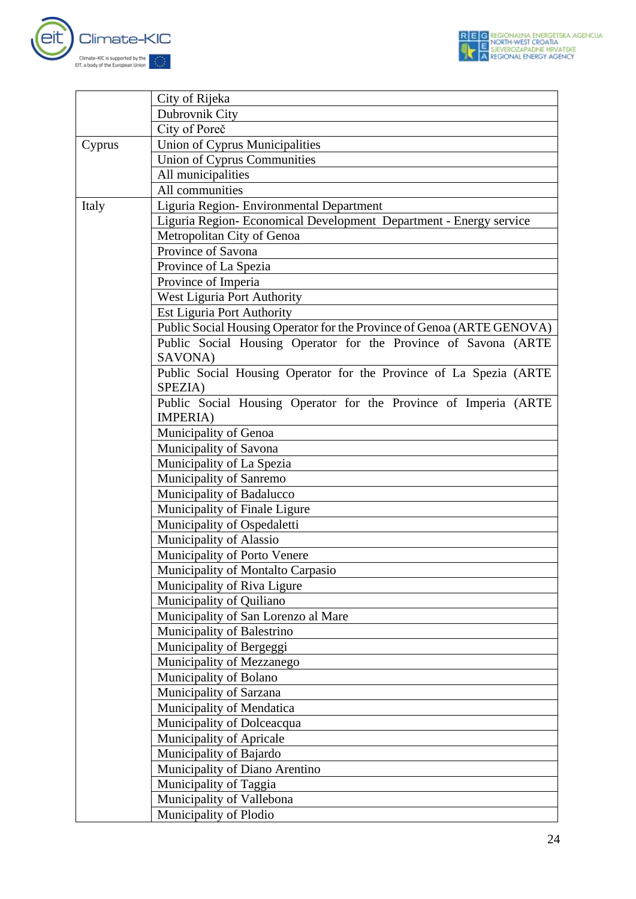

|        | City of Rijeka                                                         |
|--------|------------------------------------------------------------------------|
|        | Dubrovnik City                                                         |
|        | City of Poreč                                                          |
| Cyprus | Union of Cyprus Municipalities                                         |
|        | <b>Union of Cyprus Communities</b>                                     |
|        | All municipalities                                                     |
|        | All communities                                                        |
| Italy  | Liguria Region- Environmental Department                               |
|        | Liguria Region- Economical Development Department - Energy service     |
|        | Metropolitan City of Genoa                                             |
|        | Province of Savona                                                     |
|        | Province of La Spezia                                                  |
|        | Province of Imperia                                                    |
|        | West Liguria Port Authority                                            |
|        | <b>Est Liguria Port Authority</b>                                      |
|        | Public Social Housing Operator for the Province of Genoa (ARTE GENOVA) |
|        | Public Social Housing Operator for the Province of Savona (ARTE        |
|        | SAVONA)                                                                |
|        | Public Social Housing Operator for the Province of La Spezia (ARTE     |
|        | SPEZIA)                                                                |
|        | Public Social Housing Operator for the Province of Imperia (ARTE       |
|        | IMPERIA)                                                               |
|        | Municipality of Genoa                                                  |
|        | Municipality of Savona                                                 |
|        | Municipality of La Spezia                                              |
|        | Municipality of Sanremo                                                |
|        | Municipality of Badalucco                                              |
|        | Municipality of Finale Ligure                                          |
|        | Municipality of Ospedaletti                                            |
|        | Municipality of Alassio                                                |
|        | Municipality of Porto Venere                                           |
|        | Municipality of Montalto Carpasio                                      |
|        | Municipality of Riva Ligure                                            |
|        | Municipality of Quiliano                                               |
|        | Municipality of San Lorenzo al Mare                                    |
|        | Municipality of Balestrino                                             |
|        | Municipality of Bergeggi                                               |
|        | Municipality of Mezzanego                                              |
|        | Municipality of Bolano                                                 |
|        | Municipality of Sarzana                                                |
|        | Municipality of Mendatica                                              |
|        | Municipality of Dolceacqua                                             |
|        | Municipality of Apricale                                               |
|        | Municipality of Bajardo                                                |
|        | Municipality of Diano Arentino                                         |
|        | Municipality of Taggia                                                 |
|        | Municipality of Vallebona                                              |
|        | Municipality of Plodio                                                 |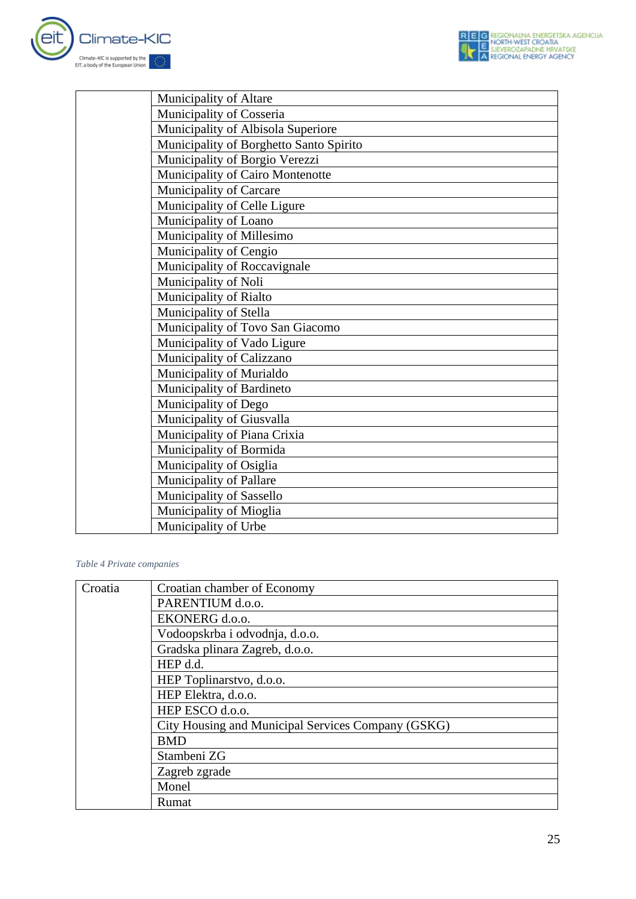

| Municipality of Altare                  |
|-----------------------------------------|
| Municipality of Cosseria                |
| Municipality of Albisola Superiore      |
| Municipality of Borghetto Santo Spirito |
| Municipality of Borgio Verezzi          |
| Municipality of Cairo Montenotte        |
| Municipality of Carcare                 |
| Municipality of Celle Ligure            |
| Municipality of Loano                   |
| Municipality of Millesimo               |
| Municipality of Cengio                  |
| Municipality of Roccavignale            |
| Municipality of Noli                    |
| Municipality of Rialto                  |
| Municipality of Stella                  |
| Municipality of Tovo San Giacomo        |
| Municipality of Vado Ligure             |
| Municipality of Calizzano               |
| Municipality of Murialdo                |
| Municipality of Bardineto               |
| Municipality of Dego                    |
| Municipality of Giusvalla               |
| Municipality of Piana Crixia            |
| Municipality of Bormida                 |
| Municipality of Osiglia                 |
| Municipality of Pallare                 |
| Municipality of Sassello                |
| Municipality of Mioglia                 |
| Municipality of Urbe                    |

#### *Table 4 Private companies*

| Croatia | Croatian chamber of Economy                        |
|---------|----------------------------------------------------|
|         | PARENTIUM d.o.o.                                   |
|         | EKONERG d.o.o.                                     |
|         | Vodoopskrba i odvodnja, d.o.o.                     |
|         | Gradska plinara Zagreb, d.o.o.                     |
|         | HEP d.d.                                           |
|         | HEP Toplinarstvo, d.o.o.                           |
|         | HEP Elektra, d.o.o.                                |
|         | HEP ESCO d.o.o.                                    |
|         | City Housing and Municipal Services Company (GSKG) |
|         | <b>BMD</b>                                         |
|         | Stambeni ZG                                        |
|         | Zagreb zgrade                                      |
|         | Monel                                              |
|         | Rumat                                              |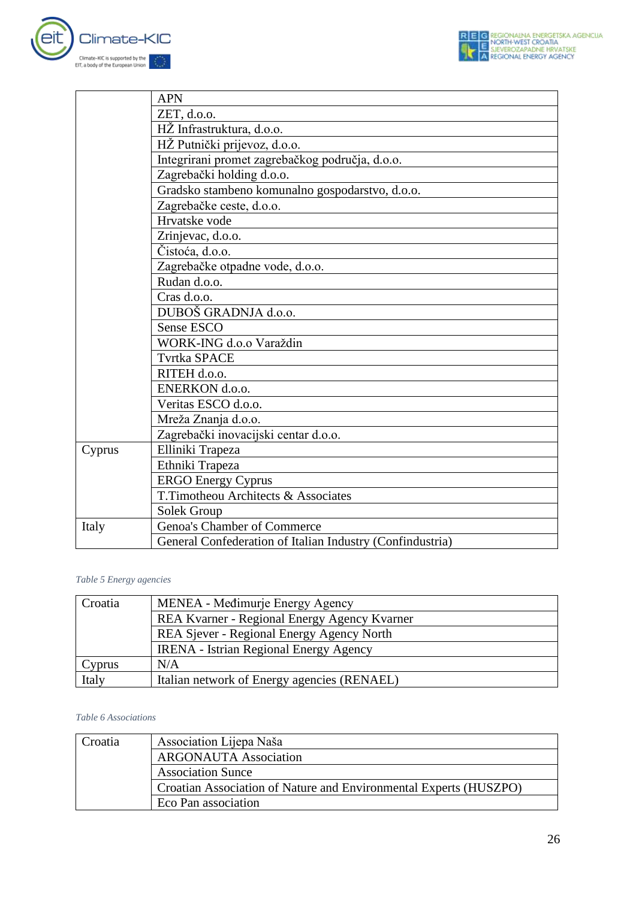



|        | <b>APN</b>                                                |
|--------|-----------------------------------------------------------|
|        | ZET, d.o.o.                                               |
|        | HŽ Infrastruktura, d.o.o.                                 |
|        | HŽ Putnički prijevoz, d.o.o.                              |
|        | Integrirani promet zagrebačkog područja, d.o.o.           |
|        | Zagrebački holding d.o.o.                                 |
|        | Gradsko stambeno komunalno gospodarstvo, d.o.o.           |
|        | Zagrebačke ceste, d.o.o.                                  |
|        | Hrvatske vode                                             |
|        | Zrinjevac, d.o.o.                                         |
|        | Čistoća, d.o.o.                                           |
|        | Zagrebačke otpadne vode, d.o.o.                           |
|        | Rudan d.o.o.                                              |
|        | Cras d.o.o.                                               |
|        | DUBOŠ GRADNJA d.o.o.                                      |
|        | Sense ESCO                                                |
|        | WORK-ING d.o.o Varaždin                                   |
|        | <b>Tvrtka SPACE</b>                                       |
|        | RITEH d.o.o.                                              |
|        | ENERKON d.o.o.                                            |
|        | Veritas ESCO d.o.o.                                       |
|        | Mreža Znanja d.o.o.                                       |
|        | Zagrebački inovacijski centar d.o.o.                      |
| Cyprus | Elliniki Trapeza                                          |
|        | Ethniki Trapeza                                           |
|        | <b>ERGO Energy Cyprus</b>                                 |
|        | T.Timotheou Architects & Associates                       |
|        | Solek Group                                               |
| Italy  | Genoa's Chamber of Commerce                               |
|        | General Confederation of Italian Industry (Confindustria) |

#### *Table 5 Energy agencies*

| Croatia | MENEA - Međimurje Energy Agency               |
|---------|-----------------------------------------------|
|         | REA Kvarner - Regional Energy Agency Kvarner  |
|         | REA Sjever - Regional Energy Agency North     |
|         | <b>IRENA</b> - Istrian Regional Energy Agency |
| Cyprus  | N/A                                           |
| Italy   | Italian network of Energy agencies (RENAEL)   |

#### *Table 6 Associations*

| Croatia | Association Lijepa Naša                                           |
|---------|-------------------------------------------------------------------|
|         | <b>ARGONAUTA Association</b>                                      |
|         | <b>Association Sunce</b>                                          |
|         | Croatian Association of Nature and Environmental Experts (HUSZPO) |
|         | Eco Pan association                                               |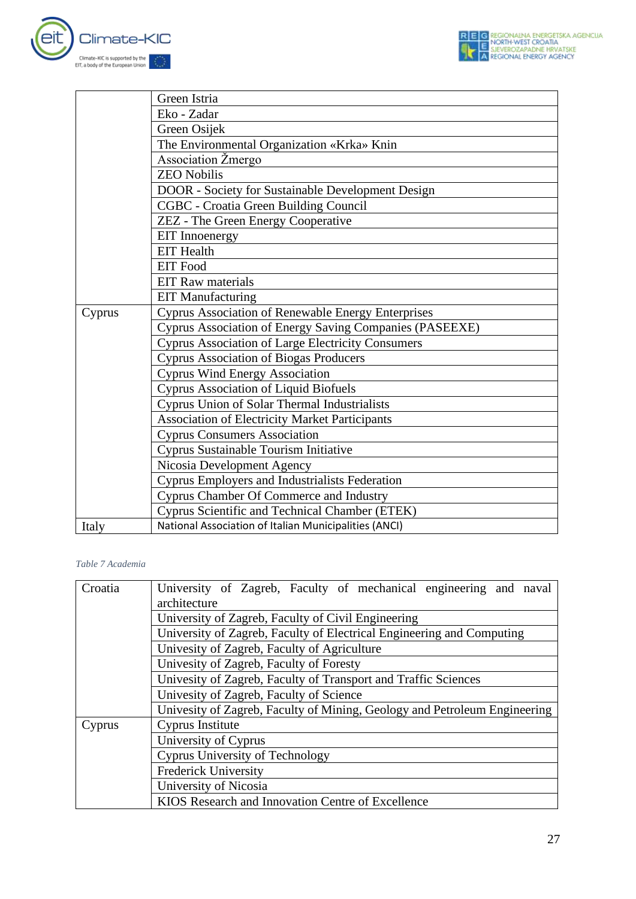



|        | Green Istria                                              |
|--------|-----------------------------------------------------------|
|        | Eko - Zadar                                               |
|        | Green Osijek                                              |
|        | The Environmental Organization «Krka» Knin                |
|        | Association Žmergo                                        |
|        | <b>ZEO Nobilis</b>                                        |
|        | DOOR - Society for Sustainable Development Design         |
|        | CGBC - Croatia Green Building Council                     |
|        | <b>ZEZ</b> - The Green Energy Cooperative                 |
|        | <b>EIT</b> Innoenergy                                     |
|        | <b>EIT</b> Health                                         |
|        | <b>EIT Food</b>                                           |
|        | <b>EIT Raw materials</b>                                  |
|        | <b>EIT Manufacturing</b>                                  |
| Cyprus | <b>Cyprus Association of Renewable Energy Enterprises</b> |
|        | Cyprus Association of Energy Saving Companies (PASEEXE)   |
|        | <b>Cyprus Association of Large Electricity Consumers</b>  |
|        | <b>Cyprus Association of Biogas Producers</b>             |
|        | <b>Cyprus Wind Energy Association</b>                     |
|        | <b>Cyprus Association of Liquid Biofuels</b>              |
|        | <b>Cyprus Union of Solar Thermal Industrialists</b>       |
|        | <b>Association of Electricity Market Participants</b>     |
|        | <b>Cyprus Consumers Association</b>                       |
|        | Cyprus Sustainable Tourism Initiative                     |
|        | Nicosia Development Agency                                |
|        | Cyprus Employers and Industrialists Federation            |
|        | Cyprus Chamber Of Commerce and Industry                   |
|        | Cyprus Scientific and Technical Chamber (ETEK)            |
| Italy  | National Association of Italian Municipalities (ANCI)     |

#### *Table 7 Academia*

| Croatia | University of Zagreb, Faculty of mechanical engineering and naval<br>architecture |
|---------|-----------------------------------------------------------------------------------|
|         | University of Zagreb, Faculty of Civil Engineering                                |
|         | University of Zagreb, Faculty of Electrical Engineering and Computing             |
|         | Univesity of Zagreb, Faculty of Agriculture                                       |
|         | Univesity of Zagreb, Faculty of Foresty                                           |
|         | Univesity of Zagreb, Faculty of Transport and Traffic Sciences                    |
|         | Univesity of Zagreb, Faculty of Science                                           |
|         | Univesity of Zagreb, Faculty of Mining, Geology and Petroleum Engineering         |
| Cyprus  | Cyprus Institute                                                                  |
|         | University of Cyprus                                                              |
|         | <b>Cyprus University of Technology</b>                                            |
|         | <b>Frederick University</b>                                                       |
|         | University of Nicosia                                                             |
|         | KIOS Research and Innovation Centre of Excellence                                 |